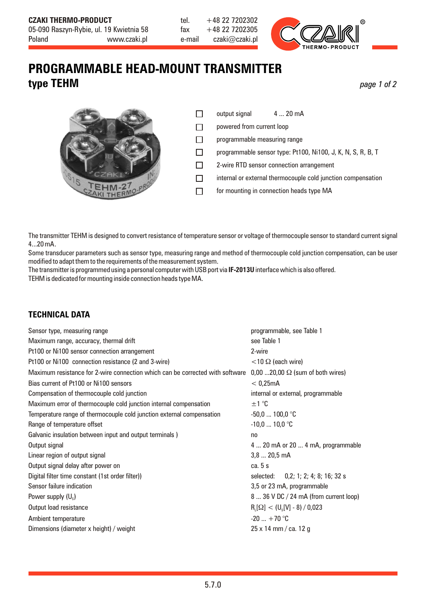

## **PROGRAMMABLE HEAD-MOUNT TRANSMITTER type TEHM** *page 1 of 2*

|                  | $\Box$ |
|------------------|--------|
|                  | $\Box$ |
|                  | $\Box$ |
|                  | $\Box$ |
| CZAKI            | $\Box$ |
| CZAKI THERMO-PRO |        |

- output signal 4 ... 20 mA
- powered from current loop
- programmable measuring range
- programmable sensor type: Pt100, Ni100, J, K, N, S, R, B, T
- 2-wire RTD sensor connection arrangement
- internal or external thermocouple cold junction compensation
- for mounting in connection heads type MA

The transmitter TEHM is designed to convert resistance of temperature sensor or voltage of thermocouple sensor to standard current signal 4...20 mA.

Some transducer parameters such as sensor type, measuring range and method of thermocouple cold junction compensation, can be user modified to adapt themto the requirements of the measurement system.

The transmitter is programmed using a personal computer with USB port via **IF-2013U** interface which is also offered. TEHM is dedicated for mounting inside connection heads type MA.

## **TECHNICAL DATA**

| Sensor type, measuring range                                                     | programmable, see Table 1                 |  |
|----------------------------------------------------------------------------------|-------------------------------------------|--|
| Maximum range, accuracy, thermal drift                                           | see Table 1                               |  |
| Pt100 or Ni100 sensor connection arrangement                                     | 2-wire                                    |  |
| Pt100 or Ni100 connection resistance (2 and 3-wire)                              | $<$ 10 $\Omega$ (each wire)               |  |
| Maximum resistance for 2-wire connection which can be corrected with software    | $0,00$ 20,00 $\Omega$ (sum of both wires) |  |
| Bias current of Pt100 or Ni100 sensors                                           | < 0.25mA                                  |  |
| Compensation of thermocouple cold junction<br>internal or external, programmable |                                           |  |
| Maximum error of thermocouple cold junction internal compensation                | ±1 °C                                     |  |
| Temperature range of thermocouple cold junction external compensation            | $-50,0$ 100,0 °C                          |  |
| Range of temperature offset                                                      | $-10,0$ 10,0 °C                           |  |
| Galvanic insulation between input and output terminals)                          | n <sub>0</sub>                            |  |
| Output signal                                                                    | 4  20 mA or 20  4 mA, programmable        |  |
| Linear region of output signal                                                   | $3,820,5$ mA                              |  |
| Output signal delay after power on                                               | ca. 5 s                                   |  |
| Digital filter time constant (1st order filter))                                 | selected: 0,2; 1; 2; 4; 8; 16; 32 s       |  |
| Sensor failure indication                                                        | 3,5 or 23 mA, programmable                |  |
| Power supply $(U_s)$                                                             | 8  36 V DC / 24 mA (from current loop)    |  |
| Output load resistance                                                           | $R_{L}[\Omega] < (U_{s}[V] - 8) / 0.023$  |  |
| Ambient temperature                                                              | $-20$ $+70$ °C                            |  |
| Dimensions (diameter x height) / weight<br>25 x 14 mm / ca. 12 g                 |                                           |  |